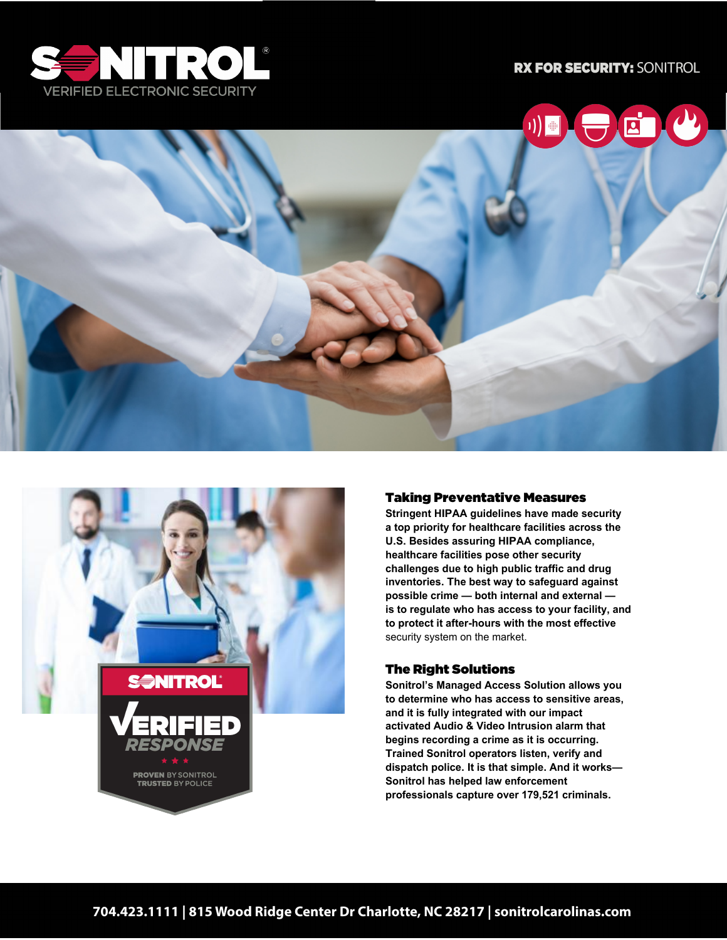





#### Taking Preventative Measures

**Stringent HIPAA guidelines have made security a top priority for healthcare facilities across the U.S. Besides assuring HIPAA compliance, healthcare facilities pose other security challenges due to high public traffic and drug inventories. The best way to safeguard against possible crime — both internal and external is to regulate who has access to your facility, and to protect it after-hours with the most effective** security system on the market.

#### The Right Solutions

**Sonitrol's Managed Access Solution allows you to determine who has access to sensitive areas, and it is fully integrated with our impact activated Audio & Video Intrusion alarm that begins recording a crime as it is occurring. Trained Sonitrol operators listen, verify and dispatch police. It is that simple. And it works— Sonitrol has helped law enforcement professionals capture over 179,521 criminals.**